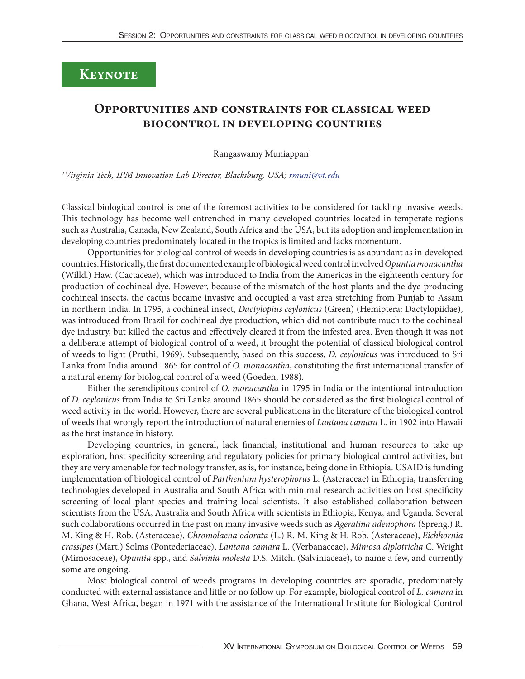## **Keynote**

## **Opportunities and constraints for classical weed biocontrol in developing countries**

Rangaswamy Muniappan<sup>1</sup>

*1 Virginia Tech, IPM Innovation Lab Director, Blacksburg, USA; [rmuni@vt.edu](mailto:rmuni%40vt.edu?subject=)*

Classical biological control is one of the foremost activities to be considered for tackling invasive weeds. This technology has become well entrenched in many developed countries located in temperate regions such as Australia, Canada, New Zealand, South Africa and the USA, but its adoption and implementation in developing countries predominately located in the tropics is limited and lacks momentum.

Opportunities for biological control of weeds in developing countries is as abundant as in developed countries. Historically, the first documented example of biological weed control involved *Opuntia monacantha* (Willd.) Haw. (Cactaceae), which was introduced to India from the Americas in the eighteenth century for production of cochineal dye. However, because of the mismatch of the host plants and the dye-producing cochineal insects, the cactus became invasive and occupied a vast area stretching from Punjab to Assam in northern India. In 1795, a cochineal insect, *Dactylopius ceylonicus* (Green) (Hemiptera: Dactylopiidae), was introduced from Brazil for cochineal dye production, which did not contribute much to the cochineal dye industry, but killed the cactus and effectively cleared it from the infested area. Even though it was not a deliberate attempt of biological control of a weed, it brought the potential of classical biological control of weeds to light (Pruthi, 1969). Subsequently, based on this success, *D. ceylonicus* was introduced to Sri Lanka from India around 1865 for control of *O. monacantha*, constituting the first international transfer of a natural enemy for biological control of a weed (Goeden, 1988).

Either the serendipitous control of *O. monacantha* in 1795 in India or the intentional introduction of *D. ceylonicus* from India to Sri Lanka around 1865 should be considered as the first biological control of weed activity in the world. However, there are several publications in the literature of the biological control of weeds that wrongly report the introduction of natural enemies of *Lantana camara* L. in 1902 into Hawaii as the first instance in history.

Developing countries, in general, lack financial, institutional and human resources to take up exploration, host specificity screening and regulatory policies for primary biological control activities, but they are very amenable for technology transfer, as is, for instance, being done in Ethiopia. USAID is funding implementation of biological control of *Parthenium hysterophorus* L. (Asteraceae) in Ethiopia, transferring technologies developed in Australia and South Africa with minimal research activities on host specificity screening of local plant species and training local scientists. It also established collaboration between scientists from the USA, Australia and South Africa with scientists in Ethiopia, Kenya, and Uganda. Several such collaborations occurred in the past on many invasive weeds such as *Ageratina adenophora* (Spreng.) R. M. King & H. Rob. (Asteraceae), *Chromolaena odorata* (L.) R. M. King & H. Rob. (Asteraceae), *Eichhornia crassipes* (Mart.) Solms (Pontederiaceae), *Lantana camara* L. (Verbanaceae), *Mimosa diplotricha* C. Wright (Mimosaceae), *Opuntia* spp., and *Salvinia molesta* D.S. Mitch. (Salviniaceae), to name a few, and currently some are ongoing.

Most biological control of weeds programs in developing countries are sporadic, predominately conducted with external assistance and little or no follow up. For example, biological control of *L. camara* in Ghana, West Africa, began in 1971 with the assistance of the International Institute for Biological Control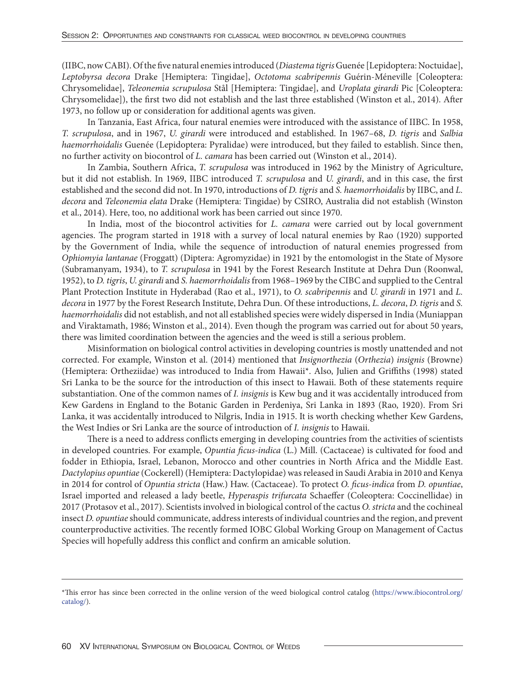(IIBC, now CABI). Of the five natural enemies introduced (*Diastema tigris* Guenée [Lepidoptera: Noctuidae], *Leptobyrsa decora* Drake [Hemiptera: Tingidae], *Octotoma scabripennis* Guérin-Méneville [Coleoptera: Chrysomelidae], *Teleonemia scrupulosa* Stål [Hemiptera: Tingidae], and *Uroplata girardi* Pic [Coleoptera: Chrysomelidae]), the first two did not establish and the last three established (Winston et al., 2014). After 1973, no follow up or consideration for additional agents was given.

In Tanzania, East Africa, four natural enemies were introduced with the assistance of IIBC. In 1958, *T. scrupulosa*, and in 1967, *U. girardi* were introduced and established. In 1967–68, *D. tigris* and *Salbia haemorrhoidalis* Guenée (Lepidoptera: Pyralidae) were introduced, but they failed to establish. Since then, no further activity on biocontrol of *L. camara* has been carried out (Winston et al., 2014).

In Zambia, Southern Africa, *T. scrupulosa* was introduced in 1962 by the Ministry of Agriculture, but it did not establish. In 1969, IIBC introduced *T. scrupulosa* and *U. girardi*, and in this case, the first established and the second did not. In 1970, introductions of *D. tigris* and *S. haemorrhoidalis* by IIBC, and *L. decora* and *Teleonemia elata* Drake (Hemiptera: Tingidae) by CSIRO, Australia did not establish (Winston et al., 2014). Here, too, no additional work has been carried out since 1970.

In India, most of the biocontrol activities for *L. camara* were carried out by local government agencies. The program started in 1918 with a survey of local natural enemies by Rao (1920) supported by the Government of India, while the sequence of introduction of natural enemies progressed from *Ophiomyia lantanae* (Froggatt) (Diptera: Agromyzidae) in 1921 by the entomologist in the State of Mysore (Subramanyam, 1934), to *T. scrupulosa* in 1941 by the Forest Research Institute at Dehra Dun (Roonwal, 1952), to *D. tigris*, *U. girardi* and *S. haemorrhoidalis* from 1968–1969 by the CIBC and supplied to the Central Plant Protection Institute in Hyderabad (Rao et al., 1971), to *O. scabripennis* and *U. girardi* in 1971 and *L. decora* in 1977 by the Forest Research Institute, Dehra Dun. Of these introductions, *L. decora*, *D. tigris* and *S. haemorrhoidalis* did not establish, and not all established species were widely dispersed in India (Muniappan and Viraktamath, 1986; Winston et al., 2014). Even though the program was carried out for about 50 years, there was limited coordination between the agencies and the weed is still a serious problem.

Misinformation on biological control activities in developing countries is mostly unattended and not corrected. For example, Winston et al. (2014) mentioned that *Insignorthezia* (*Orthezia*) *insignis* (Browne) (Hemiptera: Ortheziidae) was introduced to India from Hawaii\*. Also, Julien and Griffiths (1998) stated Sri Lanka to be the source for the introduction of this insect to Hawaii. Both of these statements require substantiation. One of the common names of *I. insignis* is Kew bug and it was accidentally introduced from Kew Gardens in England to the Botanic Garden in Perdeniya, Sri Lanka in 1893 (Rao, 1920). From Sri Lanka, it was accidentally introduced to Nilgris, India in 1915. It is worth checking whether Kew Gardens, the West Indies or Sri Lanka are the source of introduction of *I. insignis* to Hawaii.

There is a need to address conflicts emerging in developing countries from the activities of scientists in developed countries. For example, *Opuntia ficus-indica* (L.) Mill. (Cactaceae) is cultivated for food and fodder in Ethiopia, Israel, Lebanon, Morocco and other countries in North Africa and the Middle East. *Dactylopius opuntiae* (Cockerell) (Hemiptera: Dactylopidae) was released in Saudi Arabia in 2010 and Kenya in 2014 for control of *Opuntia stricta* (Haw.) Haw. (Cactaceae). To protect *O. ficus-indica* from *D. opuntiae*, Israel imported and released a lady beetle, *Hyperaspis trifurcata* Schaeffer (Coleoptera: Coccinellidae) in 2017 (Protasov et al., 2017). Scientists involved in biological control of the cactus *O. stricta* and the cochineal insect *D. opuntiae* should communicate, address interests of individual countries and the region, and prevent counterproductive activities. The recently formed IOBC Global Working Group on Management of Cactus Species will hopefully address this conflict and confirm an amicable solution.

<sup>\*</sup>This error has since been corrected in the online version of the weed biological control catalog [\(https://www.ibiocontrol.org/](https://www.ibiocontrol.org/catalog/) [catalog/](https://www.ibiocontrol.org/catalog/)).